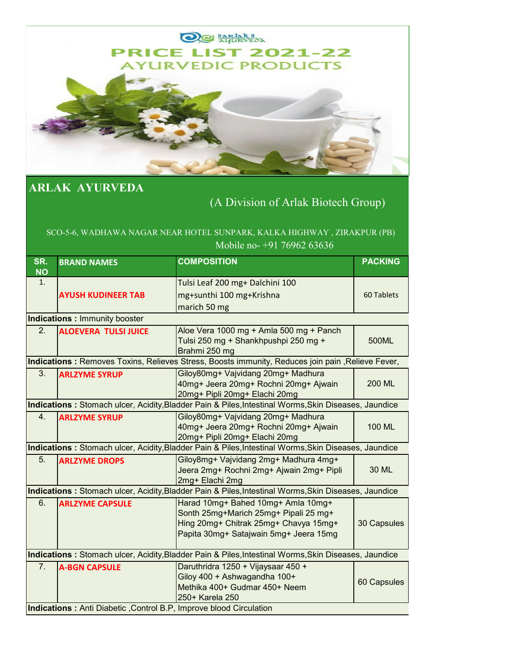

## **ARLAK AYURVEDA**

## (A Division of Arlak Biotech Group)

## SCO-5-6, WADHAWA NAGAR NEAR HOTEL SUNPARK, KALKA HIGHWAY , ZIRAKPUR (PB) Mobile no- +91 76962 63636

| SR.                                                                                                  | <b>BRAND NAMES</b>                                                                                   | <b>COMPOSITION</b>                                                                                   | <b>PACKING</b> |  |
|------------------------------------------------------------------------------------------------------|------------------------------------------------------------------------------------------------------|------------------------------------------------------------------------------------------------------|----------------|--|
| <b>NO</b><br>1.                                                                                      |                                                                                                      |                                                                                                      |                |  |
|                                                                                                      |                                                                                                      | Tulsi Leaf 200 mg+ Dalchini 100                                                                      |                |  |
|                                                                                                      | <b>AYUSH KUDINEER TAB</b>                                                                            | mg+sunthi 100 mg+Krishna                                                                             | 60 Tablets     |  |
|                                                                                                      |                                                                                                      | marich 50 mg                                                                                         |                |  |
|                                                                                                      | <b>Indications: Immunity booster</b>                                                                 |                                                                                                      |                |  |
| 2.                                                                                                   | <b>ALOEVERA TULSI JUICE</b>                                                                          | Aloe Vera 1000 mg + Amla 500 mg + Panch                                                              |                |  |
|                                                                                                      |                                                                                                      | Tulsi 250 mg + Shankhpushpi 250 mg +<br>Brahmi 250 mg                                                | 500ML          |  |
|                                                                                                      |                                                                                                      | Indications: Removes Toxins, Relieves Stress, Boosts immunity, Reduces join pain, Relieve Fever,     |                |  |
| 3.                                                                                                   | <b>ARLZYME SYRUP</b>                                                                                 | Giloy80mg+ Vajvidang 20mg+ Madhura                                                                   |                |  |
|                                                                                                      |                                                                                                      | 40mg+ Jeera 20mg+ Rochni 20mg+ Ajwain                                                                | 200 ML         |  |
|                                                                                                      |                                                                                                      | 20mg+ Pipli 20mg+ Elachi 20mg                                                                        |                |  |
|                                                                                                      | Indications: Stomach ulcer, Acidity, Bladder Pain & Piles, Intestinal Worms, Skin Diseases, Jaundice |                                                                                                      |                |  |
| 4.                                                                                                   | <b>ARLZYME SYRUP</b>                                                                                 | Giloy80mg+ Vajvidang 20mg+ Madhura                                                                   |                |  |
|                                                                                                      |                                                                                                      | 40mg+ Jeera 20mg+ Rochni 20mg+ Ajwain                                                                | 100 ML         |  |
|                                                                                                      |                                                                                                      | 20mg+ Pipli 20mg+ Elachi 20mg                                                                        |                |  |
|                                                                                                      |                                                                                                      | Indications: Stomach ulcer, Acidity, Bladder Pain & Piles, Intestinal Worms, Skin Diseases, Jaundice |                |  |
| 5.                                                                                                   | <b>ARLZYME DROPS</b>                                                                                 | Giloy8mg+ Vajvidang 2mg+ Madhura 4mg+                                                                |                |  |
|                                                                                                      |                                                                                                      | Jeera 2mg+ Rochni 2mg+ Ajwain 2mg+ Pipli                                                             | 30 ML          |  |
|                                                                                                      |                                                                                                      | 2mg+ Elachi 2mg                                                                                      |                |  |
| Indications: Stomach ulcer, Acidity, Bladder Pain & Piles, Intestinal Worms, Skin Diseases, Jaundice |                                                                                                      |                                                                                                      |                |  |
| 6.                                                                                                   | <b>ARLZYME CAPSULE</b>                                                                               | Harad 10mg+ Bahed 10mg+ Amla 10mg+                                                                   |                |  |
|                                                                                                      |                                                                                                      | Sonth 25mg+Marich 25mg+ Pipali 25 mg+<br>Hing 20mg+ Chitrak 25mg+ Chavya 15mg+                       |                |  |
|                                                                                                      |                                                                                                      | Papita 30mg+ Satajwain 5mg+ Jeera 15mg                                                               | 30 Capsules    |  |
|                                                                                                      |                                                                                                      |                                                                                                      |                |  |
|                                                                                                      | Indications: Stomach ulcer, Acidity, Bladder Pain & Piles, Intestinal Worms, Skin Diseases, Jaundice |                                                                                                      |                |  |
| 7.                                                                                                   | <b>A-BGN CAPSULE</b>                                                                                 | Daruthridra 1250 + Vijaysaar 450 +                                                                   |                |  |
|                                                                                                      |                                                                                                      | Giloy 400 + Ashwagandha 100+                                                                         | 60 Capsules    |  |
|                                                                                                      |                                                                                                      | Methika 400+ Gudmar 450+ Neem                                                                        |                |  |
|                                                                                                      |                                                                                                      | 250+ Karela 250                                                                                      |                |  |
|                                                                                                      | Indications: Anti Diabetic, Control B.P, Improve blood Circulation                                   |                                                                                                      |                |  |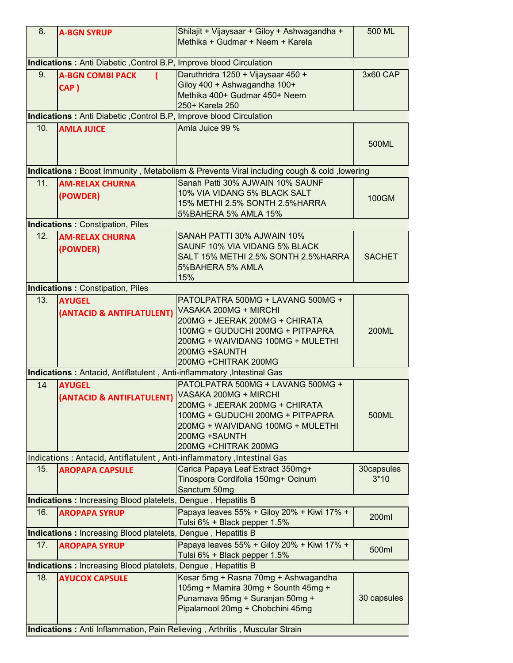| 8.                                                                  | <b>A-BGN SYRUP</b>                                                          | Shilajit + Vijaysaar + Giloy + Ashwagandha +<br>Methika + Gudmar + Neem + Karela                                                                                                                                | 500 ML               |
|---------------------------------------------------------------------|-----------------------------------------------------------------------------|-----------------------------------------------------------------------------------------------------------------------------------------------------------------------------------------------------------------|----------------------|
|                                                                     | <b>Indications :</b> Anti Diabetic , Control B.P, Improve blood Circulation |                                                                                                                                                                                                                 |                      |
| 9.                                                                  | <b>A-BGN COMBI PACK</b><br>CAP)                                             | Daruthridra 1250 + Vijaysaar 450 +<br>Giloy 400 + Ashwagandha 100+<br>Methika 400+ Gudmar 450+ Neem                                                                                                             | 3x60 CAP             |
|                                                                     |                                                                             | 250+ Karela 250                                                                                                                                                                                                 |                      |
|                                                                     | Indications: Anti Diabetic, Control B.P, Improve blood Circulation          |                                                                                                                                                                                                                 |                      |
| 10.                                                                 | <b>AMLA JUICE</b>                                                           | Amla Juice 99 %                                                                                                                                                                                                 |                      |
|                                                                     |                                                                             |                                                                                                                                                                                                                 | 500ML                |
|                                                                     |                                                                             | Indications: Boost Immunity, Metabolism & Prevents Viral including cough & cold, lowering                                                                                                                       |                      |
| 11.                                                                 | <b>AM-RELAX CHURNA</b><br>(POWDER)                                          | Sanah Patti 30% AJWAIN 10% SAUNF<br>10% VIA VIDANG 5% BLACK SALT<br>15% METHI 2.5% SONTH 2.5%HARRA<br>5%BAHERA 5% AMLA 15%                                                                                      | 100GM                |
|                                                                     | <b>Indications: Constipation, Piles</b>                                     |                                                                                                                                                                                                                 |                      |
| 12.                                                                 | <b>AM-RELAX CHURNA</b><br>(POWDER)                                          | SANAH PATTI 30% AJWAIN 10%<br>SAUNF 10% VIA VIDANG 5% BLACK<br>SALT 15% METHI 2.5% SONTH 2.5%HARRA<br>5%BAHERA 5% AMLA<br>15%                                                                                   | <b>SACHET</b>        |
|                                                                     | <b>Indications: Constipation, Piles</b>                                     |                                                                                                                                                                                                                 |                      |
| 13.                                                                 | <b>AYUGEL</b><br>(ANTACID & ANTIFLATULENT)                                  | PATOLPATRA 500MG + LAVANG 500MG +<br>VASAKA 200MG + MIRCHI<br>200MG + JEERAK 200MG + CHIRATA<br>100MG + GUDUCHI 200MG + PITPAPRA<br>200MG + WAIVIDANG 100MG + MULETHI<br>200MG +SAUNTH<br>200MG + CHITRAK 200MG | <b>200ML</b>         |
|                                                                     | Indications: Antacid, Antiflatulent, Anti-inflammatory, Intestinal Gas      |                                                                                                                                                                                                                 |                      |
| 14                                                                  | <b>AYUGEL</b><br>(ANTACID & ANTIFLATULENT) VASAKA 200MG + MIRCHI            | PATOLPATRA 500MG + LAVANG 500MG +<br>200MG + JEERAK 200MG + CHIRATA<br>100MG + GUDUCHI 200MG + PITPAPRA<br>200MG + WAIVIDANG 100MG + MULETHI<br>200MG +SAUNTH<br>200MG + CHITRAK 200MG                          | 500ML                |
|                                                                     | Indications: Antacid, Antiflatulent, Anti-inflammatory, Intestinal Gas      |                                                                                                                                                                                                                 |                      |
| 15.                                                                 | <b>AROPAPA CAPSULE</b>                                                      | Carica Papaya Leaf Extract 350mg+<br>Tinospora Cordifolia 150mg+ Ocinum<br>Sanctum 50mg                                                                                                                         | 30capsules<br>$3*10$ |
|                                                                     | <b>Indications: Increasing Blood platelets, Dengue, Hepatitis B</b>         |                                                                                                                                                                                                                 |                      |
| 16.                                                                 | <b>AROPAPA SYRUP</b>                                                        | Papaya leaves 55% + Giloy 20% + Kiwi 17% +<br>Tulsi 6% + Black pepper 1.5%                                                                                                                                      | 200ml                |
| <b>Indications: Increasing Blood platelets, Dengue, Hepatitis B</b> |                                                                             |                                                                                                                                                                                                                 |                      |
| 17.                                                                 | <b>AROPAPA SYRUP</b>                                                        | Papaya leaves 55% + Giloy 20% + Kiwi 17% +<br>Tulsi 6% + Black pepper 1.5%                                                                                                                                      | 500ml                |
|                                                                     | <b>Indications: Increasing Blood platelets, Dengue, Hepatitis B</b>         |                                                                                                                                                                                                                 |                      |
| 18.                                                                 | <b>AYUCOX CAPSULE</b>                                                       | Kesar 5mg + Rasna 70mg + Ashwagandha<br>105mg + Mamira 30mg + Sounth 45mg +<br>Punarnava 95mg + Suranjan 50mg +<br>Pipalamool 20mg + Chobchini 45mg                                                             | 30 capsules          |
|                                                                     |                                                                             | Indications: Anti Inflammation, Pain Relieving, Arthritis, Muscular Strain                                                                                                                                      |                      |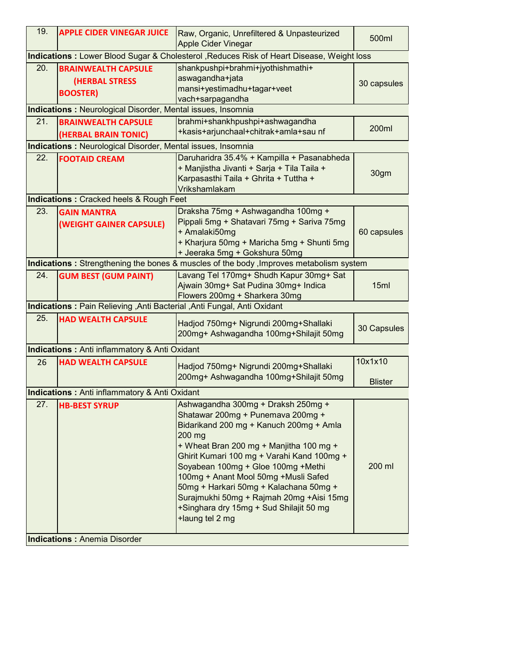| 19. | <b>APPLE CIDER VINEGAR JUICE</b>                                                           | Raw, Organic, Unrefiltered & Unpasteurized<br>Apple Cider Vinegar                                                                                                                                                                                                                                                                                                                                                                                          | 500ml                     |  |  |
|-----|--------------------------------------------------------------------------------------------|------------------------------------------------------------------------------------------------------------------------------------------------------------------------------------------------------------------------------------------------------------------------------------------------------------------------------------------------------------------------------------------------------------------------------------------------------------|---------------------------|--|--|
|     | Indications : Lower Blood Sugar & Cholesterol , Reduces Risk of Heart Disease, Weight loss |                                                                                                                                                                                                                                                                                                                                                                                                                                                            |                           |  |  |
| 20. | <b>BRAINWEALTH CAPSULE</b><br><b>(HERBAL STRESS</b><br><b>BOOSTER)</b>                     | shankpushpi+brahmi+jyothishmathi+<br>aswagandha+jata<br>mansi+yestimadhu+tagar+veet<br>vach+sarpagandha                                                                                                                                                                                                                                                                                                                                                    | 30 capsules               |  |  |
|     | <b>Indications: Neurological Disorder, Mental issues, Insomnia</b>                         |                                                                                                                                                                                                                                                                                                                                                                                                                                                            |                           |  |  |
| 21. | <b>BRAINWEALTH CAPSULE</b><br>(HERBAL BRAIN TONIC)                                         | brahmi+shankhpushpi+ashwagandha<br>+kasis+arjunchaal+chitrak+amla+sau nf                                                                                                                                                                                                                                                                                                                                                                                   | 200ml                     |  |  |
|     | <b>Indications:</b> Neurological Disorder, Mental issues, Insomnia                         |                                                                                                                                                                                                                                                                                                                                                                                                                                                            |                           |  |  |
| 22. | <b>FOOTAID CREAM</b>                                                                       | Daruharidra 35.4% + Kampilla + Pasanabheda<br>+ Manjistha Jivanti + Sarja + Tila Taila +<br>Karpasasthi Taila + Ghrita + Tuttha +<br>Vrikshamlakam                                                                                                                                                                                                                                                                                                         | 30gm                      |  |  |
|     | <b>Indications: Cracked heels &amp; Rough Feet</b>                                         |                                                                                                                                                                                                                                                                                                                                                                                                                                                            |                           |  |  |
| 23. | <b>GAIN MANTRA</b><br>(WEIGHT GAINER CAPSULE)                                              | Draksha 75mg + Ashwagandha 100mg +<br>Pippali 5mg + Shatavari 75mg + Sariva 75mg<br>+ Amalaki50mg<br>+ Kharjura 50mg + Maricha 5mg + Shunti 5mg<br>+ Jeeraka 5mg + Gokshura 50mg                                                                                                                                                                                                                                                                           | 60 capsules               |  |  |
|     |                                                                                            | Indications: Strengthening the bones & muscles of the body, Improves metabolism system                                                                                                                                                                                                                                                                                                                                                                     |                           |  |  |
| 24. | <b>GUM BEST (GUM PAINT)</b>                                                                | Lavang Tel 170mg+ Shudh Kapur 30mg+ Sat<br>Ajwain 30mg+ Sat Pudina 30mg+ Indica<br>Flowers 200mg + Sharkera 30mg                                                                                                                                                                                                                                                                                                                                           | 15ml                      |  |  |
|     | Indications: Pain Relieving, Anti Bacterial, Anti Fungal, Anti Oxidant                     |                                                                                                                                                                                                                                                                                                                                                                                                                                                            |                           |  |  |
| 25. | <b>HAD WEALTH CAPSULE</b>                                                                  | Hadjod 750mg+ Nigrundi 200mg+Shallaki<br>200mg+ Ashwagandha 100mg+Shilajit 50mg                                                                                                                                                                                                                                                                                                                                                                            | 30 Capsules               |  |  |
|     | <b>Indications: Anti inflammatory &amp; Anti Oxidant</b>                                   |                                                                                                                                                                                                                                                                                                                                                                                                                                                            |                           |  |  |
| 26  | <b>HAD WEALTH CAPSULE</b>                                                                  | Hadjod 750mg+ Nigrundi 200mg+Shallaki<br>200mg+ Ashwagandha 100mg+Shilajit 50mg                                                                                                                                                                                                                                                                                                                                                                            | 10x1x10<br><b>Blister</b> |  |  |
|     | <b>Indications: Anti inflammatory &amp; Anti Oxidant</b>                                   |                                                                                                                                                                                                                                                                                                                                                                                                                                                            |                           |  |  |
| 27. | <b>HB-BEST SYRUP</b>                                                                       | Ashwagandha 300mg + Draksh 250mg +<br>Shatawar 200mg + Punemava 200mg +<br>Bidarikand 200 mg + Kanuch 200mg + Amla<br>200 mg<br>+ Wheat Bran 200 mg + Manjitha 100 mg +<br>Ghirit Kumari 100 mg + Varahi Kand 100mg +<br>Soyabean 100mg + Gloe 100mg + Methi<br>100mg + Anant Mool 50mg + Musli Safed<br>50mg + Harkari 50mg + Kalachana 50mg +<br>Surajmukhi 50mg + Rajmah 20mg + Aisi 15mg<br>+Singhara dry 15mg + Sud Shilajit 50 mg<br>+laung tel 2 mg | 200 ml                    |  |  |
|     | <b>Indications: Anemia Disorder</b>                                                        |                                                                                                                                                                                                                                                                                                                                                                                                                                                            |                           |  |  |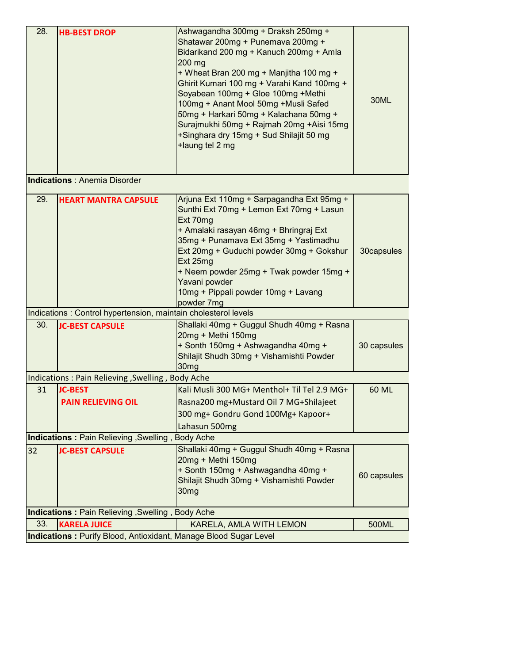| 28.                                                                     | <b>HB-BEST DROP</b><br><b>Indications: Anemia Disorder</b>     | Ashwagandha 300mg + Draksh 250mg +<br>Shatawar 200mg + Punemava 200mg +<br>Bidarikand 200 mg + Kanuch 200mg + Amla<br>200 mg<br>+ Wheat Bran 200 mg + Manjitha 100 mg +<br>Ghirit Kumari 100 mg + Varahi Kand 100mg +<br>Soyabean 100mg + Gloe 100mg +Methi<br>100mg + Anant Mool 50mg +Musli Safed<br>50mg + Harkari 50mg + Kalachana 50mg +<br>Surajmukhi 50mg + Rajmah 20mg +Aisi 15mg<br>+Singhara dry 15mg + Sud Shilajit 50 mg<br>+laung tel 2 mg | 30ML        |
|-------------------------------------------------------------------------|----------------------------------------------------------------|---------------------------------------------------------------------------------------------------------------------------------------------------------------------------------------------------------------------------------------------------------------------------------------------------------------------------------------------------------------------------------------------------------------------------------------------------------|-------------|
|                                                                         |                                                                |                                                                                                                                                                                                                                                                                                                                                                                                                                                         |             |
| 29.                                                                     | <b>HEART MANTRA CAPSULE</b>                                    | Arjuna Ext 110mg + Sarpagandha Ext 95mg +<br>Sunthi Ext 70mg + Lemon Ext 70mg + Lasun<br>Ext 70mg<br>+ Amalaki rasayan 46mg + Bhringraj Ext<br>35mg + Punamava Ext 35mg + Yastimadhu<br>Ext 20mg + Guduchi powder 30mg + Gokshur<br>Ext 25mg<br>+ Neem powder 25mg + Twak powder 15mg +<br>Yavani powder<br>10mg + Pippali powder 10mg + Lavang<br>powder 7mg                                                                                           | 30capsules  |
|                                                                         | Indications: Control hypertension, maintain cholesterol levels |                                                                                                                                                                                                                                                                                                                                                                                                                                                         |             |
| 30.                                                                     | <b>JC-BEST CAPSULE</b>                                         | Shallaki 40mg + Guggul Shudh 40mg + Rasna<br>20mg + Methi 150mg<br>+ Sonth 150mg + Ashwagandha 40mg +<br>Shilajit Shudh 30mg + Vishamishti Powder<br>30 <sub>mg</sub>                                                                                                                                                                                                                                                                                   | 30 capsules |
|                                                                         | Indications: Pain Relieving, Swelling, Body Ache               |                                                                                                                                                                                                                                                                                                                                                                                                                                                         |             |
| 31                                                                      | <b>JC-BEST</b><br><b>PAIN RELIEVING OIL</b>                    | Kali Musli 300 MG+ Menthol+ Til Tel 2.9 MG+<br>Rasna200 mg+Mustard Oil 7 MG+Shilajeet<br>300 mg+ Gondru Gond 100Mg+ Kapoor+<br>Lahasun 500mg                                                                                                                                                                                                                                                                                                            | 60 ML       |
| Indications: Pain Relieving, Swelling, Body Ache                        |                                                                |                                                                                                                                                                                                                                                                                                                                                                                                                                                         |             |
| 32                                                                      | <b>JC-BEST CAPSULE</b>                                         | Shallaki 40mg + Guggul Shudh 40mg + Rasna<br>20mg + Methi 150mg<br>+ Sonth 150mg + Ashwagandha 40mg +<br>Shilajit Shudh 30mg + Vishamishti Powder<br>30 <sub>mg</sub>                                                                                                                                                                                                                                                                                   | 60 capsules |
|                                                                         | Indications: Pain Relieving, Swelling, Body Ache               |                                                                                                                                                                                                                                                                                                                                                                                                                                                         |             |
| 33.                                                                     | <b>KARELA JUICE</b>                                            | KARELA, AMLA WITH LEMON                                                                                                                                                                                                                                                                                                                                                                                                                                 | 500ML       |
| <b>Indications: Purify Blood, Antioxidant, Manage Blood Sugar Level</b> |                                                                |                                                                                                                                                                                                                                                                                                                                                                                                                                                         |             |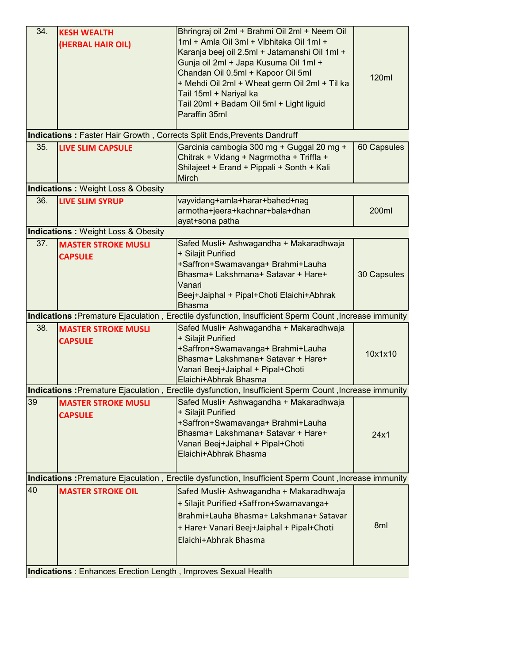| 34. | <b>KESH WEALTH</b><br>(HERBAL HAIR OIL)                                                                | Bhringraj oil 2ml + Brahmi Oil 2ml + Neem Oil<br>1ml + Amla Oil 3ml + Vibhitaka Oil 1ml +<br>Karanja beej oil 2.5ml + Jatamanshi Oil 1ml +<br>Gunja oil 2ml + Japa Kusuma Oil 1ml +<br>Chandan Oil 0.5ml + Kapoor Oil 5ml<br>+ Mehdi Oil 2ml + Wheat germ Oil 2ml + Til ka<br>Tail 15ml + Nariyal ka<br>Tail 20ml + Badam Oil 5ml + Light liguid<br>Paraffin 35ml | 120ml       |  |
|-----|--------------------------------------------------------------------------------------------------------|-------------------------------------------------------------------------------------------------------------------------------------------------------------------------------------------------------------------------------------------------------------------------------------------------------------------------------------------------------------------|-------------|--|
|     |                                                                                                        | Indications: Faster Hair Growth, Corrects Split Ends, Prevents Dandruff                                                                                                                                                                                                                                                                                           |             |  |
| 35. | <b>LIVE SLIM CAPSULE</b>                                                                               | Garcinia cambogia 300 mg + Guggal 20 mg +<br>Chitrak + Vidang + Nagrmotha + Triffla +<br>Shilajeet + Erand + Pippali + Sonth + Kali<br>Mirch                                                                                                                                                                                                                      | 60 Capsules |  |
|     | <b>Indications: Weight Loss &amp; Obesity</b>                                                          |                                                                                                                                                                                                                                                                                                                                                                   |             |  |
| 36. | <b>LIVE SLIM SYRUP</b>                                                                                 | vayvidang+amla+harar+bahed+nag<br>armotha+jeera+kachnar+bala+dhan<br>ayat+sona patha                                                                                                                                                                                                                                                                              | 200ml       |  |
|     | <b>Indications: Weight Loss &amp; Obesity</b>                                                          |                                                                                                                                                                                                                                                                                                                                                                   |             |  |
| 37. | <b>MASTER STROKE MUSLI</b><br><b>CAPSULE</b>                                                           | Safed Musli+ Ashwagandha + Makaradhwaja<br>+ Silajit Purified<br>+Saffron+Swamavanga+ Brahmi+Lauha<br>Bhasma+ Lakshmana+ Satavar + Hare+<br>Vanari<br>Beej+Jaiphal + Pipal+Choti Elaichi+Abhrak<br><b>Bhasma</b>                                                                                                                                                  | 30 Capsules |  |
|     | Indications : Premature Ejaculation, Erectile dysfunction, Insufficient Sperm Count, Increase immunity |                                                                                                                                                                                                                                                                                                                                                                   |             |  |
| 38. | <b>MASTER STROKE MUSLI</b><br><b>CAPSULE</b>                                                           | Safed Musli+ Ashwagandha + Makaradhwaja<br>+ Silajit Purified<br>+Saffron+Swamavanga+ Brahmi+Lauha<br>Bhasma+ Lakshmana+ Satavar + Hare+<br>Vanari Beej+Jaiphal + Pipal+Choti<br>Elaichi+Abhrak Bhasma                                                                                                                                                            | 10x1x10     |  |
|     |                                                                                                        | Indications : Premature Ejaculation, Erectile dysfunction, Insufficient Sperm Count, Increase immunity                                                                                                                                                                                                                                                            |             |  |
| 39  | <b>MASTER STROKE MUSLI</b><br><b>CAPSULE</b>                                                           | Safed Musli+ Ashwagandha + Makaradhwaja<br>+ Silajit Purified<br>+Saffron+Swamavanga+ Brahmi+Lauha<br>Bhasma+ Lakshmana+ Satavar + Hare+<br>Vanari Beej+Jaiphal + Pipal+Choti<br>Elaichi+Abhrak Bhasma                                                                                                                                                            | 24x1        |  |
|     | Indications : Premature Ejaculation, Erectile dysfunction, Insufficient Sperm Count, Increase immunity |                                                                                                                                                                                                                                                                                                                                                                   |             |  |
| 40  | <b>MASTER STROKE OIL</b>                                                                               | Safed Musli+ Ashwagandha + Makaradhwaja<br>+ Silajit Purified +Saffron+Swamavanga+<br>Brahmi+Lauha Bhasma+ Lakshmana+ Satavar<br>+ Hare+ Vanari Beej+Jaiphal + Pipal+Choti<br>Elaichi+Abhrak Bhasma                                                                                                                                                               | 8ml         |  |
|     | <b>Indications</b> : Enhances Erection Length, Improves Sexual Health                                  |                                                                                                                                                                                                                                                                                                                                                                   |             |  |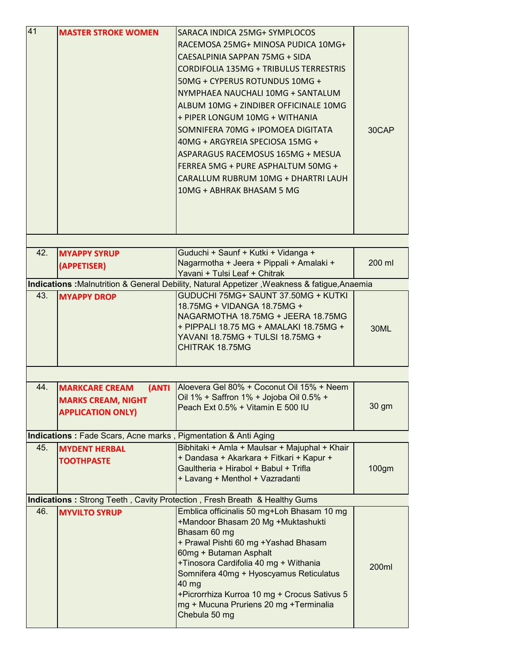| 41  | <b>MASTER STROKE WOMEN</b>                                                              | SARACA INDICA 25MG+ SYMPLOCOS<br>RACEMOSA 25MG+ MINOSA PUDICA 10MG+<br>CAESALPINIA SAPPAN 75MG + SIDA<br>CORDIFOLIA 135MG + TRIBULUS TERRESTRIS<br>50MG + CYPERUS ROTUNDUS 10MG +<br>NYMPHAEA NAUCHALI 10MG + SANTALUM<br>ALBUM 10MG + ZINDIBER OFFICINALE 10MG<br>+ PIPER LONGUM 10MG + WITHANIA<br>SOMNIFERA 70MG + IPOMOEA DIGITATA<br>40MG + ARGYREIA SPECIOSA 15MG +<br>ASPARAGUS RACEMOSUS 165MG + MESUA<br>FERREA 5MG + PURE ASPHALTUM 50MG +<br>CARALLUM RUBRUM 10MG + DHARTRI LAUH<br>10MG + ABHRAK BHASAM 5 MG | 30CAP  |
|-----|-----------------------------------------------------------------------------------------|--------------------------------------------------------------------------------------------------------------------------------------------------------------------------------------------------------------------------------------------------------------------------------------------------------------------------------------------------------------------------------------------------------------------------------------------------------------------------------------------------------------------------|--------|
|     |                                                                                         |                                                                                                                                                                                                                                                                                                                                                                                                                                                                                                                          |        |
| 42. | <b>MYAPPY SYRUP</b><br>(APPETISER)                                                      | Guduchi + Saunf + Kutki + Vidanga +<br>Nagarmotha + Jeera + Pippali + Amalaki +<br>Yavani + Tulsi Leaf + Chitrak                                                                                                                                                                                                                                                                                                                                                                                                         | 200 ml |
|     |                                                                                         | Indications : Malnutrition & General Debility, Natural Appetizer, Weakness & fatigue, Anaemia                                                                                                                                                                                                                                                                                                                                                                                                                            |        |
| 43. | <b>MYAPPY DROP</b>                                                                      | GUDUCHI 75MG+ SAUNT 37.50MG + KUTKI<br>18.75MG + VIDANGA 18.75MG +<br>NAGARMOTHA 18.75MG + JEERA 18.75MG<br>+ PIPPALI 18.75 MG + AMALAKI 18.75MG +<br>YAVANI 18.75MG + TULSI 18.75MG +<br>CHITRAK 18.75MG                                                                                                                                                                                                                                                                                                                | 30ML   |
|     |                                                                                         |                                                                                                                                                                                                                                                                                                                                                                                                                                                                                                                          |        |
| 44. | (ANTI<br><b>MARKCARE CREAM</b><br><b>MARKS CREAM, NIGHT</b><br><b>APPLICATION ONLY)</b> | Aloevera Gel 80% + Coconut Oil 15% + Neem<br>Oil 1% + Saffron 1% + Jojoba Oil 0.5% +<br>Peach Ext 0.5% + Vitamin E 500 IU                                                                                                                                                                                                                                                                                                                                                                                                | 30 gm  |
|     | <b>Indications: Fade Scars, Acne marks, Pigmentation &amp; Anti Aging</b>               |                                                                                                                                                                                                                                                                                                                                                                                                                                                                                                                          |        |
| 45. | <b>MYDENT HERBAL</b><br><b>TOOTHPASTE</b>                                               | Bibhitaki + Amla + Maulsar + Majuphal + Khair<br>+ Dandasa + Akarkara + Fitkari + Kapur +<br>Gaultheria + Hirabol + Babul + Trifla<br>+ Lavang + Menthol + Vazradanti                                                                                                                                                                                                                                                                                                                                                    | 100gm  |
|     |                                                                                         | <b>Indications:</b> Strong Teeth, Cavity Protection, Fresh Breath & Healthy Gums                                                                                                                                                                                                                                                                                                                                                                                                                                         |        |
| 46. | <b>MYVILTO SYRUP</b>                                                                    | Emblica officinalis 50 mg+Loh Bhasam 10 mg<br>+Mandoor Bhasam 20 Mg +Muktashukti<br>Bhasam 60 mg<br>+ Prawal Pishti 60 mg + Yashad Bhasam<br>60mg + Butaman Asphalt<br>+Tinosora Cardifolia 40 mg + Withania<br>Somnifera 40mg + Hyoscyamus Reticulatus<br>40 mg<br>+Picrorrhiza Kurroa 10 mg + Crocus Sativus 5<br>mg + Mucuna Pruriens 20 mg + Terminalia<br>Chebula 50 mg                                                                                                                                             | 200ml  |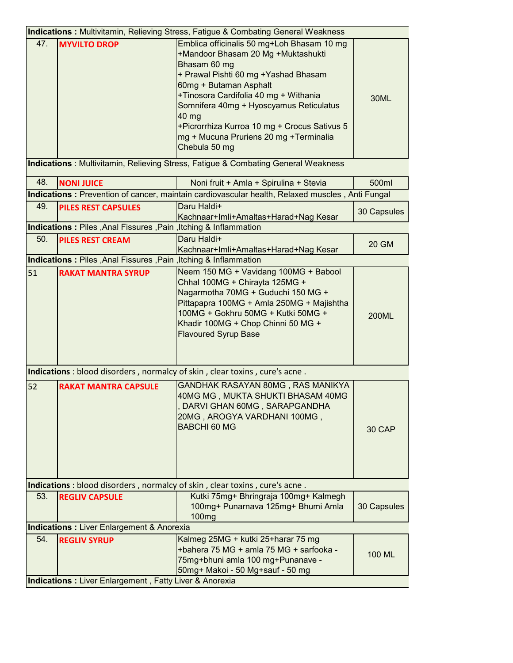|                                                         | <b>Indications: Multivitamin, Relieving Stress, Fatigue &amp; Combating General Weakness</b> |                                                                                                                                                                                                                                                                                                                                                                             |               |  |  |
|---------------------------------------------------------|----------------------------------------------------------------------------------------------|-----------------------------------------------------------------------------------------------------------------------------------------------------------------------------------------------------------------------------------------------------------------------------------------------------------------------------------------------------------------------------|---------------|--|--|
| 47.                                                     | <b>MYVILTO DROP</b>                                                                          | Emblica officinalis 50 mg+Loh Bhasam 10 mg<br>+Mandoor Bhasam 20 Mg +Muktashukti<br>Bhasam 60 mg<br>+ Prawal Pishti 60 mg +Yashad Bhasam<br>60mg + Butaman Asphalt<br>+Tinosora Cardifolia 40 mg + Withania<br>Somnifera 40mg + Hyoscyamus Reticulatus<br>40 mg<br>+Picrorrhiza Kurroa 10 mg + Crocus Sativus 5<br>mg + Mucuna Pruriens 20 mg + Terminalia<br>Chebula 50 mg | 30ML          |  |  |
|                                                         |                                                                                              | <b>Indications</b> : Multivitamin, Relieving Stress, Fatigue & Combating General Weakness                                                                                                                                                                                                                                                                                   |               |  |  |
| 48.                                                     | <b>NONI JUICE</b>                                                                            | Noni fruit + Amla + Spirulina + Stevia                                                                                                                                                                                                                                                                                                                                      | 500ml         |  |  |
|                                                         |                                                                                              | Indications: Prevention of cancer, maintain cardiovascular health, Relaxed muscles, Anti Fungal                                                                                                                                                                                                                                                                             |               |  |  |
| 49.                                                     | <b>PILES REST CAPSULES</b>                                                                   | Daru Haldi+                                                                                                                                                                                                                                                                                                                                                                 | 30 Capsules   |  |  |
|                                                         |                                                                                              | Kachnaar+Imli+Amaltas+Harad+Nag Kesar                                                                                                                                                                                                                                                                                                                                       |               |  |  |
|                                                         | Indications: Piles, Anal Fissures, Pain, Itching & Inflammation                              |                                                                                                                                                                                                                                                                                                                                                                             |               |  |  |
| 50.                                                     | <b>PILES REST CREAM</b>                                                                      | Daru Haldi+                                                                                                                                                                                                                                                                                                                                                                 | <b>20 GM</b>  |  |  |
|                                                         |                                                                                              | Kachnaar+Imli+Amaltas+Harad+Nag Kesar                                                                                                                                                                                                                                                                                                                                       |               |  |  |
| 51                                                      | Indications: Piles, Anal Fissures, Pain, Itching & Inflammation<br><b>RAKAT MANTRA SYRUP</b> | Neem 150 MG + Vavidang 100MG + Babool                                                                                                                                                                                                                                                                                                                                       |               |  |  |
|                                                         |                                                                                              | Chhal 100MG + Chirayta 125MG +<br>Nagarmotha 70MG + Guduchi 150 MG +<br>Pittapapra 100MG + Amla 250MG + Majishtha<br>100MG + Gokhru 50MG + Kutki 50MG +<br>Khadir 100MG + Chop Chinni 50 MG +<br><b>Flavoured Syrup Base</b>                                                                                                                                                | <b>200ML</b>  |  |  |
|                                                         |                                                                                              | Indications : blood disorders, normalcy of skin, clear toxins, cure's acne.                                                                                                                                                                                                                                                                                                 |               |  |  |
| 52                                                      | <b>RAKAT MANTRA CAPSULE</b>                                                                  | GANDHAK RASAYAN 80MG, RAS MANIKYA<br>40MG MG, MUKTA SHUKTI BHASAM 40MG<br>DARVI GHAN 60MG, SARAPGANDHA<br>20MG, AROGYA VARDHANI 100MG,<br><b>BABCHI 60 MG</b>                                                                                                                                                                                                               | 30 CAP        |  |  |
|                                                         | Indications : blood disorders, normalcy of skin, clear toxins, cure's acne.                  |                                                                                                                                                                                                                                                                                                                                                                             |               |  |  |
| 53.                                                     | <b>REGLIV CAPSULE</b>                                                                        | Kutki 75mg+ Bhringraja 100mg+ Kalmegh<br>100mg+ Punarnava 125mg+ Bhumi Amla<br>100mg                                                                                                                                                                                                                                                                                        | 30 Capsules   |  |  |
|                                                         | <b>Indications: Liver Enlargement &amp; Anorexia</b>                                         |                                                                                                                                                                                                                                                                                                                                                                             |               |  |  |
| 54.                                                     | <b>REGLIV SYRUP</b>                                                                          | Kalmeg 25MG + kutki 25+harar 75 mg<br>+bahera 75 MG + amla 75 MG + sarfooka -<br>75mg+bhuni amla 100 mg+Punanave -<br>50mg+ Makoi - 50 Mg+sauf - 50 mg                                                                                                                                                                                                                      | <b>100 ML</b> |  |  |
| Indications : Liver Enlargement, Fatty Liver & Anorexia |                                                                                              |                                                                                                                                                                                                                                                                                                                                                                             |               |  |  |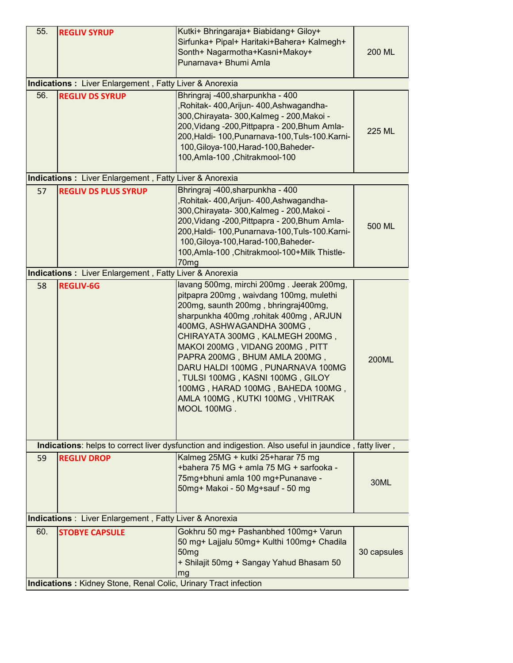| 55.                                                             | <b>REGLIV SYRUP</b>                                           | Kutki+ Bhringaraja+ Biabidang+ Giloy+<br>Sirfunka+ Pipal+ Haritaki+Bahera+ Kalmegh+<br>Sonth+ Nagarmotha+Kasni+Makoy+<br>Punarnava+ Bhumi Amla                                                                                                                                                                                                                                                                                                                               | 200 ML       |
|-----------------------------------------------------------------|---------------------------------------------------------------|------------------------------------------------------------------------------------------------------------------------------------------------------------------------------------------------------------------------------------------------------------------------------------------------------------------------------------------------------------------------------------------------------------------------------------------------------------------------------|--------------|
|                                                                 | <b>Indications:</b> Liver Enlargement, Fatty Liver & Anorexia |                                                                                                                                                                                                                                                                                                                                                                                                                                                                              |              |
| 56.                                                             | <b>REGLIV DS SYRUP</b>                                        | Bhringraj -400, sharpunkha - 400<br>Rohitak- 400, Arijun- 400, Ashwagandha-<br>300, Chirayata- 300, Kalmeg - 200, Makoi -<br>200, Vidang - 200, Pittpapra - 200, Bhum Amla-<br>200, Haldi- 100, Punarnava-100, Tuls-100. Karni-<br>100, Giloya-100, Harad-100, Baheder-<br>100, Amla-100, Chitrakmool-100                                                                                                                                                                    | 225 ML       |
|                                                                 | <b>Indications:</b> Liver Enlargement, Fatty Liver & Anorexia |                                                                                                                                                                                                                                                                                                                                                                                                                                                                              |              |
| 57                                                              | <b>REGLIV DS PLUS SYRUP</b>                                   | Bhringraj -400, sharpunkha - 400<br>,Rohitak- 400,Arijun- 400,Ashwagandha-<br>300, Chirayata- 300, Kalmeg - 200, Makoi -<br>200, Vidang - 200, Pittpapra - 200, Bhum Amla-<br>200, Haldi- 100, Punarnava-100, Tuls-100. Karni-<br>100, Giloya-100, Harad-100, Baheder-<br>100, Amla-100, Chitrakmool-100+Milk Thistle-<br>70mg                                                                                                                                               | 500 ML       |
|                                                                 | Indications: Liver Enlargement, Fatty Liver & Anorexia        |                                                                                                                                                                                                                                                                                                                                                                                                                                                                              |              |
| 58                                                              | <b>REGLIV-6G</b>                                              | lavang 500mg, mirchi 200mg. Jeerak 200mg,<br>pitpapra 200mg, waivdang 100mg, mulethi<br>200mg, saunth 200mg, bhringraj400mg,<br>sharpunkha 400mg, rohitak 400mg, ARJUN<br>400MG, ASHWAGANDHA 300MG,<br>CHIRAYATA 300MG, KALMEGH 200MG,<br>MAKOI 200MG, VIDANG 200MG, PITT<br>PAPRA 200MG, BHUM AMLA 200MG,<br>DARU HALDI 100MG, PUNARNAVA 100MG<br>, TULSI 100MG, KASNI 100MG, GILOY<br>100MG, HARAD 100MG, BAHEDA 100MG,<br>AMLA 100MG, KUTKI 100MG, VHITRAK<br>MOOL 100MG. | <b>200ML</b> |
|                                                                 |                                                               | Indications: helps to correct liver dysfunction and indigestion. Also useful in jaundice, fatty liver,                                                                                                                                                                                                                                                                                                                                                                       |              |
| 59                                                              | <b>REGLIV DROP</b>                                            | Kalmeg 25MG + kutki 25+harar 75 mg<br>+bahera 75 MG + amla 75 MG + sarfooka -<br>75mg+bhuni amla 100 mg+Punanave -<br>50mg+ Makoi - 50 Mg+sauf - 50 mg                                                                                                                                                                                                                                                                                                                       | 30ML         |
| <b>Indications</b> : Liver Enlargement, Fatty Liver & Anorexia  |                                                               |                                                                                                                                                                                                                                                                                                                                                                                                                                                                              |              |
| 60.                                                             | <b>STOBYE CAPSULE</b>                                         | Gokhru 50 mg+ Pashanbhed 100mg+ Varun<br>50 mg+ Lajjalu 50mg+ Kulthi 100mg+ Chadila<br>50 <sub>mg</sub><br>+ Shilajit 50mg + Sangay Yahud Bhasam 50<br>mg                                                                                                                                                                                                                                                                                                                    | 30 capsules  |
| Indications: Kidney Stone, Renal Colic, Urinary Tract infection |                                                               |                                                                                                                                                                                                                                                                                                                                                                                                                                                                              |              |